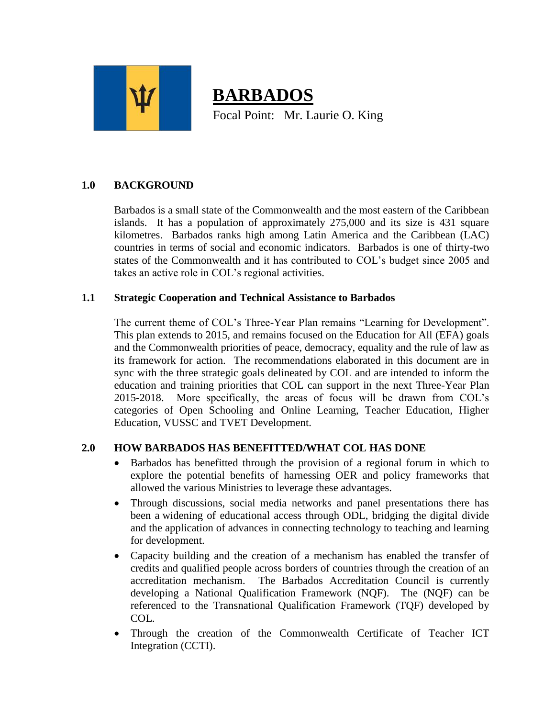

# **BARBADOS** Focal Point: Mr. Laurie O. King

# **1.0 BACKGROUND**

Barbados is a small state of the Commonwealth and the most eastern of the Caribbean islands. It has a population of approximately 275,000 and its size is 431 square kilometres. Barbados ranks high among Latin America and the Caribbean (LAC) countries in terms of social and economic indicators. Barbados is one of thirty-two states of the Commonwealth and it has contributed to COL's budget since 2005 and takes an active role in COL's regional activities.

### **1.1 Strategic Cooperation and Technical Assistance to Barbados**

The current theme of COL's Three-Year Plan remains "Learning for Development". This plan extends to 2015, and remains focused on the Education for All (EFA) goals and the Commonwealth priorities of peace, democracy, equality and the rule of law as its framework for action. The recommendations elaborated in this document are in sync with the three strategic goals delineated by COL and are intended to inform the education and training priorities that COL can support in the next Three-Year Plan 2015-2018. More specifically, the areas of focus will be drawn from COL's categories of Open Schooling and Online Learning, Teacher Education, Higher Education, VUSSC and TVET Development.

## **2.0 HOW BARBADOS HAS BENEFITTED/WHAT COL HAS DONE**

- Barbados has benefitted through the provision of a regional forum in which to explore the potential benefits of harnessing OER and policy frameworks that allowed the various Ministries to leverage these advantages.
- Through discussions, social media networks and panel presentations there has been a widening of educational access through ODL, bridging the digital divide and the application of advances in connecting technology to teaching and learning for development.
- Capacity building and the creation of a mechanism has enabled the transfer of credits and qualified people across borders of countries through the creation of an accreditation mechanism. The Barbados Accreditation Council is currently developing a National Qualification Framework (NQF). The (NQF) can be referenced to the Transnational Qualification Framework (TQF) developed by COL.
- Through the creation of the Commonwealth Certificate of Teacher ICT Integration (CCTI).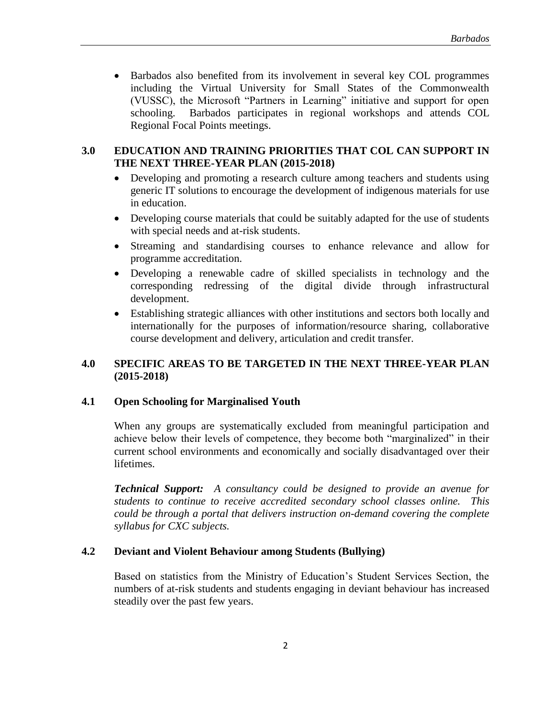Barbados also benefited from its involvement in several key COL programmes including the Virtual University for Small States of the Commonwealth (VUSSC), the Microsoft "Partners in Learning" initiative and support for open schooling. Barbados participates in regional workshops and attends COL Regional Focal Points meetings.

### **3.0 EDUCATION AND TRAINING PRIORITIES THAT COL CAN SUPPORT IN THE NEXT THREE-YEAR PLAN (2015-2018)**

- Developing and promoting a research culture among teachers and students using generic IT solutions to encourage the development of indigenous materials for use in education.
- Developing course materials that could be suitably adapted for the use of students with special needs and at-risk students.
- Streaming and standardising courses to enhance relevance and allow for programme accreditation.
- Developing a renewable cadre of skilled specialists in technology and the corresponding redressing of the digital divide through infrastructural development.
- Establishing strategic alliances with other institutions and sectors both locally and internationally for the purposes of information/resource sharing, collaborative course development and delivery, articulation and credit transfer.

## **4.0 SPECIFIC AREAS TO BE TARGETED IN THE NEXT THREE-YEAR PLAN (2015-2018)**

## **4.1 Open Schooling for Marginalised Youth**

When any groups are systematically excluded from meaningful participation and achieve below their levels of competence, they become both "marginalized" in their current school environments and economically and socially disadvantaged over their lifetimes.

*Technical Support: A consultancy could be designed to provide an avenue for students to continue to receive accredited secondary school classes online. This could be through a portal that delivers instruction on-demand covering the complete syllabus for CXC subjects.*

## **4.2 Deviant and Violent Behaviour among Students (Bullying)**

Based on statistics from the Ministry of Education's Student Services Section, the numbers of at-risk students and students engaging in deviant behaviour has increased steadily over the past few years.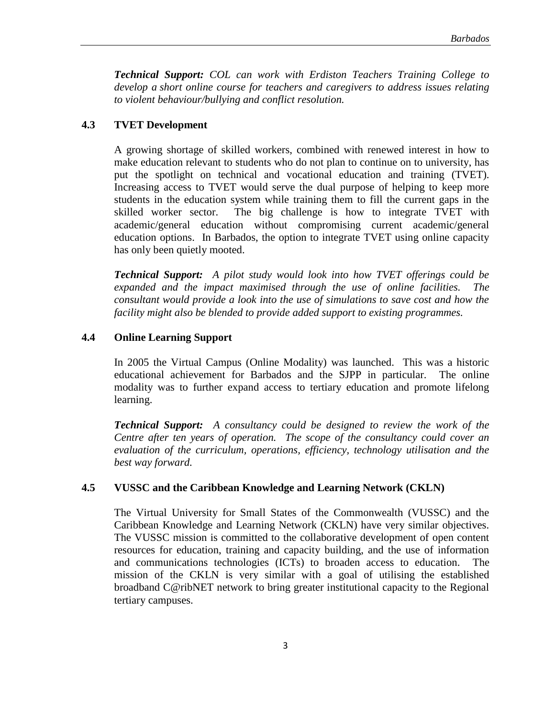*Technical Support: COL can work with Erdiston Teachers Training College to develop a short online course for teachers and caregivers to address issues relating to violent behaviour/bullying and conflict resolution.*

#### **4.3 TVET Development**

A growing shortage of skilled workers, combined with renewed interest in how to make education relevant to students who do not plan to continue on to university, has put the spotlight on technical and vocational education and training (TVET). Increasing access to TVET would serve the dual purpose of helping to keep more students in the education system while training them to fill the current gaps in the skilled worker sector. The big challenge is how to integrate TVET with academic/general education without compromising current academic/general education options. In Barbados, the option to integrate TVET using online capacity has only been quietly mooted.

*Technical Support: A pilot study would look into how TVET offerings could be expanded and the impact maximised through the use of online facilities. The consultant would provide a look into the use of simulations to save cost and how the facility might also be blended to provide added support to existing programmes.*

#### **4.4 Online Learning Support**

In 2005 the Virtual Campus (Online Modality) was launched. This was a historic educational achievement for Barbados and the SJPP in particular. The online modality was to further expand access to tertiary education and promote lifelong learning.

*Technical Support: A consultancy could be designed to review the work of the Centre after ten years of operation. The scope of the consultancy could cover an evaluation of the curriculum, operations, efficiency, technology utilisation and the best way forward.*

#### **4.5 VUSSC and the Caribbean Knowledge and Learning Network (CKLN)**

The Virtual University for Small States of the Commonwealth (VUSSC) and the Caribbean Knowledge and Learning Network (CKLN) have very similar objectives. The VUSSC mission is committed to the collaborative development of open content resources for education, training and capacity building, and the use of information and communications technologies (ICTs) to broaden access to education. The mission of the CKLN is very similar with a goal of utilising the established broadband C@ribNET network to bring greater institutional capacity to the Regional tertiary campuses.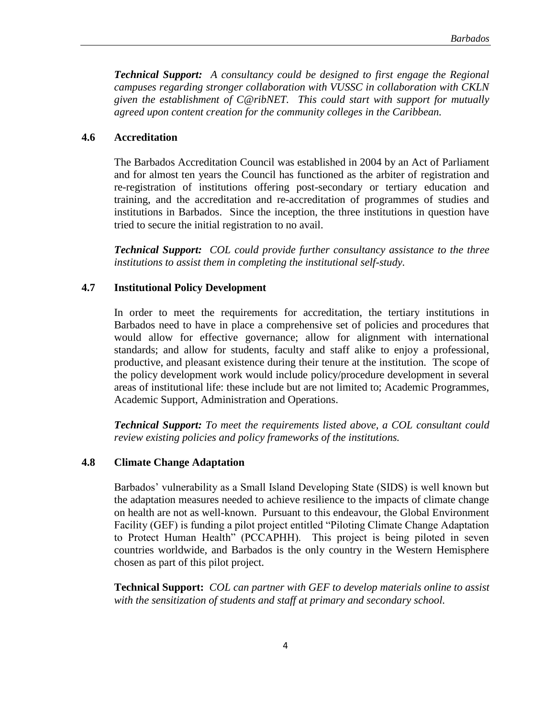*Technical Support: A consultancy could be designed to first engage the Regional campuses regarding stronger collaboration with VUSSC in collaboration with CKLN given the establishment of C@ribNET. This could start with support for mutually agreed upon content creation for the community colleges in the Caribbean.*

#### **4.6 Accreditation**

The Barbados Accreditation Council was established in 2004 by an Act of Parliament and for almost ten years the Council has functioned as the arbiter of registration and re-registration of institutions offering post-secondary or tertiary education and training, and the accreditation and re-accreditation of programmes of studies and institutions in Barbados. Since the inception, the three institutions in question have tried to secure the initial registration to no avail.

*Technical Support: COL could provide further consultancy assistance to the three institutions to assist them in completing the institutional self-study.*

#### **4.7 Institutional Policy Development**

In order to meet the requirements for accreditation, the tertiary institutions in Barbados need to have in place a comprehensive set of policies and procedures that would allow for effective governance; allow for alignment with international standards; and allow for students, faculty and staff alike to enjoy a professional, productive, and pleasant existence during their tenure at the institution. The scope of the policy development work would include policy/procedure development in several areas of institutional life: these include but are not limited to; Academic Programmes, Academic Support, Administration and Operations.

*Technical Support: To meet the requirements listed above, a COL consultant could review existing policies and policy frameworks of the institutions.*

#### **4.8 Climate Change Adaptation**

Barbados' vulnerability as a Small Island Developing State (SIDS) is well known but the adaptation measures needed to achieve resilience to the impacts of climate change on health are not as well-known. Pursuant to this endeavour, the Global Environment Facility (GEF) is funding a pilot project entitled "Piloting Climate Change Adaptation to Protect Human Health" (PCCAPHH). This project is being piloted in seven countries worldwide, and Barbados is the only country in the Western Hemisphere chosen as part of this pilot project.

**Technical Support:** *COL can partner with GEF to develop materials online to assist with the sensitization of students and staff at primary and secondary school.*